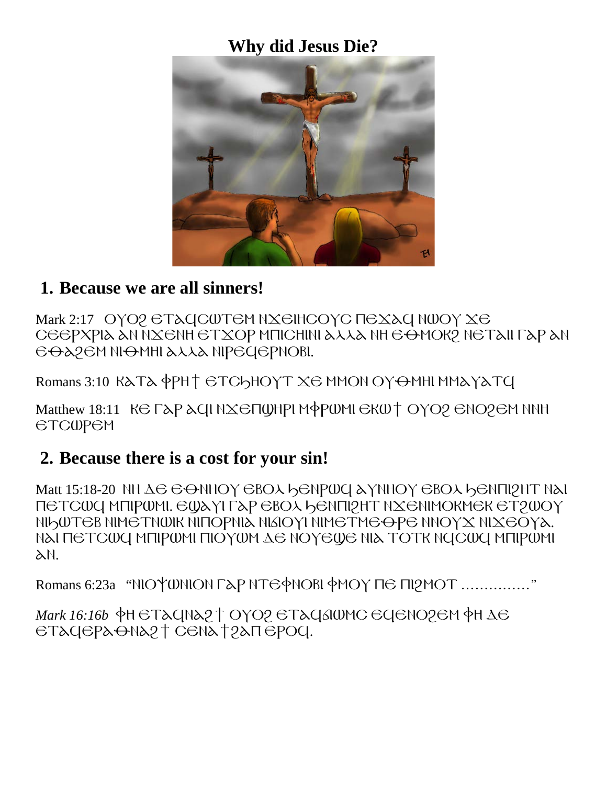## **Why did Jesus Die?**



#### **1. Because we are all sinners!**

Mark 2:17 OYO? ETACCWTEM NXEIHCOYC ΠΕΧΑΣ ΝΟΟΥ ΧΕ CEEPXPIA AN NXENH ETXOP MIIICHINI ALLA NH EOMOK? NETAII FAP AN ΘΘΑΡΘΗ ΝΗ ΑΛΛΑ ΝΙΡΕΟΘΡΝΟΒΙ.

Romans 3:10 KATA PPHT ETCHHOYT XE MMON OY OMHI MMAYATU

Matthew 18:11 KE LAP ACIN XE ΠΟΛΗΡΙΜΦΡΟΜΙ ΕΚΟΥ ΌΤΟ ΘΝΟΡΕΜΝΙΗ  $ETCUPEM$ 

## **2. Because there is a cost for your sin!**

Matt 15:18-20 NH Δ C G ΘΝΗΟΥ GBO λ b GNPW (Ο ΑΥΝΗΟΥ ΘΒΟ λ b GNΠΙ 2Η Τ N AL ΠЄΤΟΦΟ ΜΠΙΡΟΜΙ. ЄΦΑΥΙ ΓΑΡ ЄΒΟΛ Η ΘΝΠΙΡΗΤ ΝΧΕΝΙΜΟΚΜΕΚ ΕΤΡΟΟΥ NILUTEB NIMETNWIK NIΠOPNIA NISIOYI NIMETMEOPE NNOYX NIXEOYA. Ν ΑΙ ΠΕΤΟΦΟ ΜΠΙΡΦΜΙ ΠΙΟΥΦΜ ΔΕ ΝΟΥΕΦΕ ΝΙΑ ΤΟΤΚ ΝΟΟΦΟ ΜΠΙΡΦΜΙ  $\Delta N$ .

Romans 6:23a "ΝΙΟΥΨΝΙΟΝ ΓΑΡ ΝΤΕΦΝΟΒΙ ΦΜΟΥ ΠΕ ΠΙΡΜΟΤ ................."

*Mark 16:16b* ቀH ET ACINA2<sup>†</sup> ΟΥΟ2 ΕΤ ΑΟ ΔΙΟΜΟ ΕΟ ΕΝΟ2ΕΜ ΦΗ ΔΕ ETACEPAONA? T CENAT?AΠEPOC.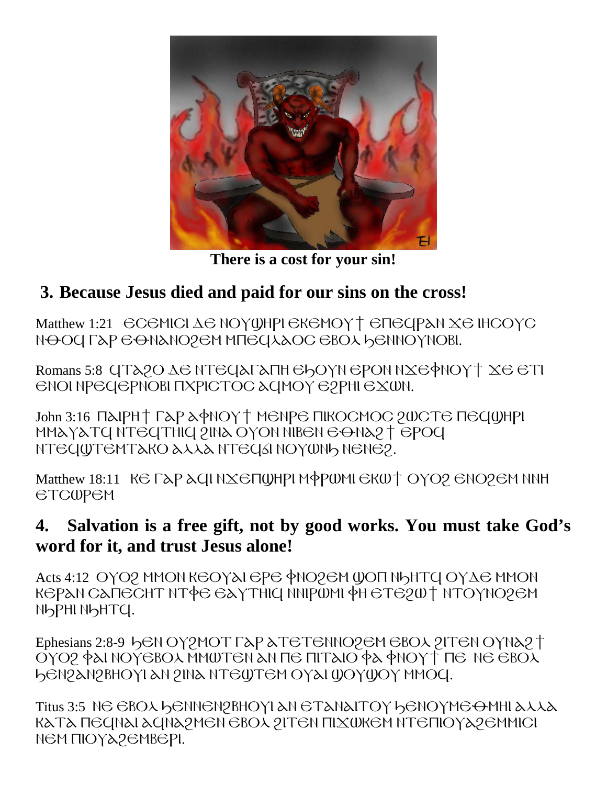

**There is a cost for your sin!**

# **3. Because Jesus died and paid for our sins on the cross!**

Matthew 1:21 <del>CCCMICLAC NOYUHPLCKCMOY<sup>†</sup> CHCCPAN XC IHCOYC</del> NOO TAP CONANO? EM MTECHAOC EBOA HENNOYNOBI.

Romans 5:8 ϤΤλΡΟ ΔΕΝΤΕΟΛΑΠΗ ΕΛΟΥΝ ΕΡΟΝ ΝΧΕΦΝΟΥΤ ΧΕ ΕΤΙ  $ENOI$  NPECIEPNOBI ΠΧΡΙΟΤΟΣ ΣΟΜΟΥ Ε2ΡΗΙ ΕΧΦΝ.

John 3:16 ΠλΙΡΗ ΓΑΡ ΑΦΝΟΥ ΤΜΕΝΡΕ ΠΙΚΟΟΜΟΟ 2WCTE ΠΕΟΟΥΗΡΙ MMAYATU NTEUTHIU 2INA OYON NIBEN EONA? † EPOU NTECUUTEMTAKO AAAA NTECIAI NOYUNIA NENE2.

Matthew 18:11 KG Γ AP ACLINX G Π UHPI M ΦΡ UMI G K U T O YO? GNO? GM NNH *<del>CTCWPCM</del>* 

#### **4. Salvation is a free gift, not by good works. You must take God's word for it, and trust Jesus alone!**

Acts 4:12 OYO? MMON KEOYAI EPE ΦΝΟ? ΕΜ ΦΟΠ ΝΗ ΤΟ ΟΥΔΕ ΜΜΟΝ KEPAN CATECHT NTO EAYTHIC NNIPUMI OH ETE2UT NTO YNO2EM NHTU.

Ephesians 2:8-9 bGN OY2MOT Γ ΆΡ ΑΤΕ ΤΕΝΝΟΡΕΜ ΕΒΟΛ 2ΙΤΕΝ ΟΥΝΑΡΤ ΟΥΟ ΦΑΙΝΟΥΘΒΟΛ ΜΜΦΤΘΝ ΑΝ ΠΕ ΠΙΤΑΙΟ ΦΑ ΦΝΟΥΤ ΠΕ ΝΕ ΕΒΟΛ ϧϴΝϨϪΝϨΒΗΟΥΙ ϪΝ ϨΙΝϪ ΝΤΘϢΤϴΜ ΟΥϪΙ ϢΟΥϢΟΥ ΜΜΟϤ.

Titus 3:5 NE EBOA HENNEN? BHOYI AN ETANAITOY HENOYME OMHI AAAA KATA ΠΕΥΝΑΙ ΑΥΝΑ?ΜΕΝ ΕΒΟΛ 2ΙΤΕΝ ΠΙΧΦΚΕΜ ΝΤΕΠΙΟΥΑ?ΕΜΜΙΟΙ ΝΕΜ ΠΙΟΥΆΡΕΜΒΕΡΙ.